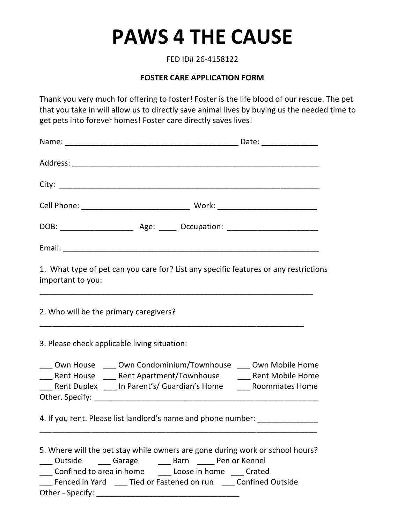## **PAWS 4 THE CAUSE**

FED ID# 26‐4158122

## **FOSTER CARE APPLICATION FORM**

Thank you very much for offering to foster! Foster is the life blood of our rescue. The pet that you take in will allow us to directly save animal lives by buying us the needed time to get pets into forever homes! Foster care directly saves lives!

| important to you:                            | 1. What type of pet can you care for? List any specific features or any restrictions                                                                                                                                                                                            |  |
|----------------------------------------------|---------------------------------------------------------------------------------------------------------------------------------------------------------------------------------------------------------------------------------------------------------------------------------|--|
| 2. Who will be the primary caregivers?       |                                                                                                                                                                                                                                                                                 |  |
| 3. Please check applicable living situation: |                                                                                                                                                                                                                                                                                 |  |
|                                              | ___ Own House ____ Own Condominium/Townhouse ___ Own Mobile Home<br>___ Rent House ____ Rent Apartment/Townhouse ____ Rent Mobile Home<br><b>EXAMPLE Rent Duplex Linus Parent's/ Guardian's Home Linus Commates Home</b>                                                        |  |
|                                              | 4. If you rent. Please list landlord's name and phone number: _________________                                                                                                                                                                                                 |  |
|                                              | 5. Where will the pet stay while owners are gone during work or school hours?<br>___ Outside ____ Garage ____ Barn ____ Pen or Kennel<br>___ Confined to area in home ______ Loose in home ____ Crated<br>___ Fenced in Yard ____ Tied or Fastened on run ____ Confined Outside |  |